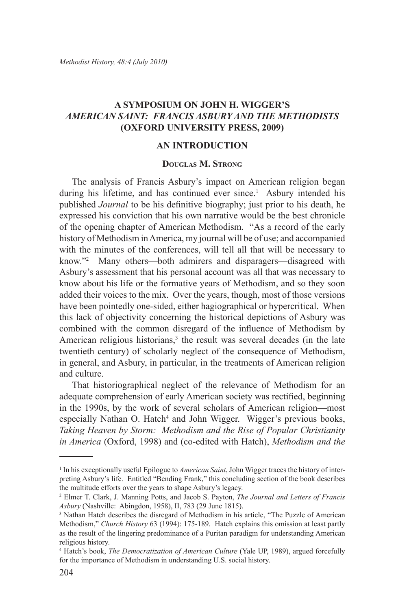## **A Symposium on John H. Wigger's** *American Saint: Francis Asbury and the Methodists* **(Oxford University Press, 2009)**

## **An Introduction**

## **Douglas M. Strong**

The analysis of Francis Asbury's impact on American religion began during his lifetime, and has continued ever since.<sup>1</sup> Asbury intended his published *Journal* to be his definitive biography; just prior to his death, he expressed his conviction that his own narrative would be the best chronicle of the opening chapter of American Methodism. "As a record of the early history of Methodism in America, my journal will be of use; and accompanied with the minutes of the conferences, will tell all that will be necessary to know."2 Many others—both admirers and disparagers—disagreed with Asbury's assessment that his personal account was all that was necessary to know about his life or the formative years of Methodism, and so they soon added their voices to the mix. Over the years, though, most of those versions have been pointedly one-sided, either hagiographical or hypercritical. When this lack of objectivity concerning the historical depictions of Asbury was combined with the common disregard of the influence of Methodism by American religious historians,<sup>3</sup> the result was several decades (in the late twentieth century) of scholarly neglect of the consequence of Methodism, in general, and Asbury, in particular, in the treatments of American religion and culture.

That historiographical neglect of the relevance of Methodism for an adequate comprehension of early American society was rectified, beginning in the 1990s, by the work of several scholars of American religion—most especially Nathan O. Hatch<sup>4</sup> and John Wigger. Wigger's previous books, *Taking Heaven by Storm: Methodism and the Rise of Popular Christianity in America* (Oxford, 1998) and (co-edited with Hatch), *Methodism and the* 

<sup>1</sup> In his exceptionally useful Epilogue to *American Saint*, John Wigger traces the history of interpreting Asbury's life. Entitled "Bending Frank," this concluding section of the book describes the multitude efforts over the years to shape Asbury's legacy.

<sup>2</sup> Elmer T. Clark, J. Manning Potts, and Jacob S. Payton, *The Journal and Letters of Francis Asbury* (Nashville: Abingdon, 1958), II, 783 (29 June 1815).

<sup>3</sup> Nathan Hatch describes the disregard of Methodism in his article, "The Puzzle of American Methodism," *Church History* 63 (1994): 175-189. Hatch explains this omission at least partly as the result of the lingering predominance of a Puritan paradigm for understanding American religious history.

<sup>4</sup> Hatch's book, *The Democratization of American Culture* (Yale UP, 1989), argued forcefully for the importance of Methodism in understanding U.S. social history.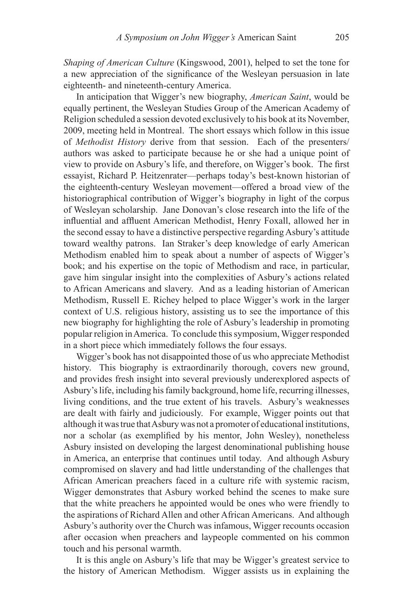*Shaping of American Culture* (Kingswood, 2001), helped to set the tone for a new appreciation of the significance of the Wesleyan persuasion in late eighteenth- and nineteenth-century America.

In anticipation that Wigger's new biography, *American Saint*, would be equally pertinent, the Wesleyan Studies Group of the American Academy of Religion scheduled a session devoted exclusively to his book at its November, 2009, meeting held in Montreal. The short essays which follow in this issue of *Methodist History* derive from that session. Each of the presenters/ authors was asked to participate because he or she had a unique point of view to provide on Asbury's life, and therefore, on Wigger's book. The first essayist, Richard P. Heitzenrater—perhaps today's best-known historian of the eighteenth-century Wesleyan movement—offered a broad view of the historiographical contribution of Wigger's biography in light of the corpus of Wesleyan scholarship. Jane Donovan's close research into the life of the influential and affluent American Methodist, Henry Foxall, allowed her in the second essay to have a distinctive perspective regarding Asbury's attitude toward wealthy patrons. Ian Straker's deep knowledge of early American Methodism enabled him to speak about a number of aspects of Wigger's book; and his expertise on the topic of Methodism and race, in particular, gave him singular insight into the complexities of Asbury's actions related to African Americans and slavery. And as a leading historian of American Methodism, Russell E. Richey helped to place Wigger's work in the larger context of U.S. religious history, assisting us to see the importance of this new biography for highlighting the role of Asbury's leadership in promoting popular religion in America. To conclude this symposium, Wigger responded in a short piece which immediately follows the four essays.

Wigger's book has not disappointed those of us who appreciate Methodist history. This biography is extraordinarily thorough, covers new ground, and provides fresh insight into several previously underexplored aspects of Asbury's life, including his family background, home life, recurring illnesses, living conditions, and the true extent of his travels. Asbury's weaknesses are dealt with fairly and judiciously. For example, Wigger points out that although it was true that Asbury was not a promoter of educational institutions, nor a scholar (as exemplified by his mentor, John Wesley), nonetheless Asbury insisted on developing the largest denominational publishing house in America, an enterprise that continues until today. And although Asbury compromised on slavery and had little understanding of the challenges that African American preachers faced in a culture rife with systemic racism, Wigger demonstrates that Asbury worked behind the scenes to make sure that the white preachers he appointed would be ones who were friendly to the aspirations of Richard Allen and other African Americans. And although Asbury's authority over the Church was infamous, Wigger recounts occasion after occasion when preachers and laypeople commented on his common touch and his personal warmth.

It is this angle on Asbury's life that may be Wigger's greatest service to the history of American Methodism. Wigger assists us in explaining the